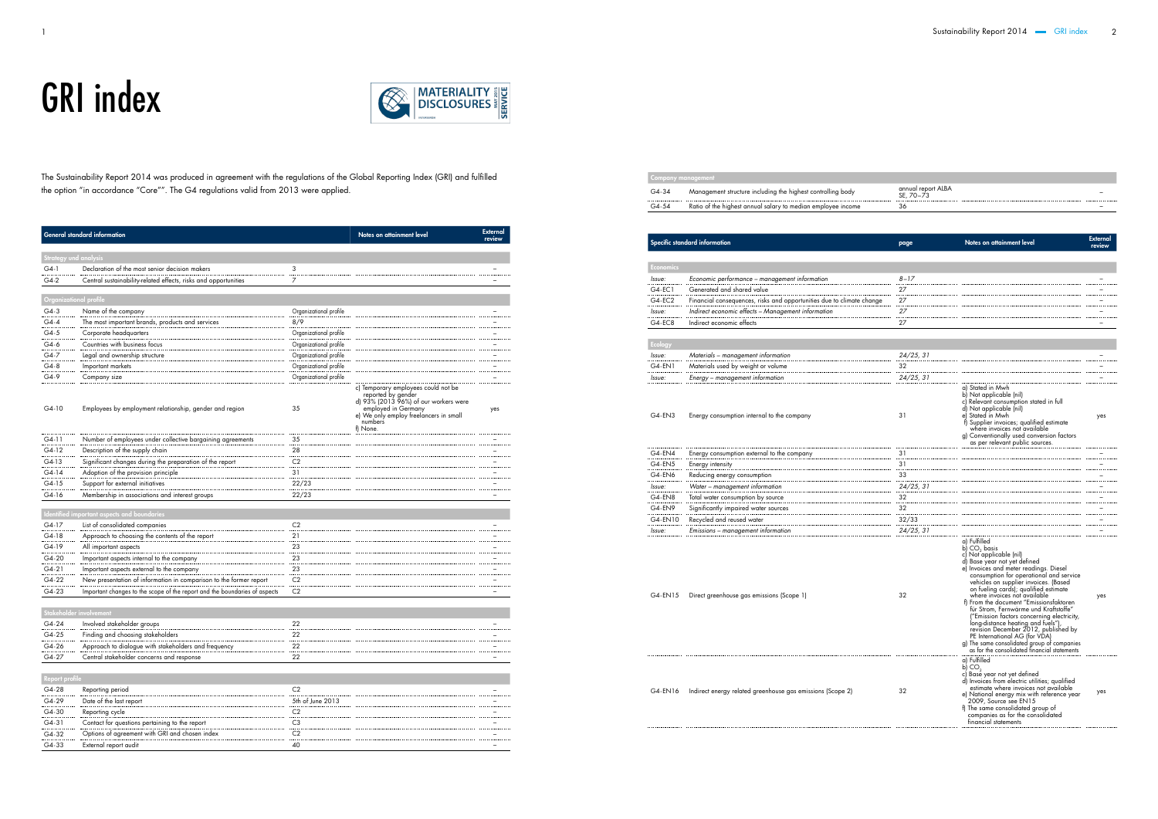## GRI index



|                | <b>General standard information</b>                                           |                        | Notes on attainment level                                                                                                                                                                  | <b>External</b><br>review |
|----------------|-------------------------------------------------------------------------------|------------------------|--------------------------------------------------------------------------------------------------------------------------------------------------------------------------------------------|---------------------------|
|                | <b>Strategy und analysis</b>                                                  |                        |                                                                                                                                                                                            |                           |
| $G4-1$         | Declaration of the most senior decision makers                                | 3                      |                                                                                                                                                                                            |                           |
| $G4-2$         | Central sustainability-related effects, risks and opportunities               | 7                      |                                                                                                                                                                                            |                           |
|                | Organizational profile                                                        |                        |                                                                                                                                                                                            |                           |
| $G4-3$         | Name of the company                                                           | Organizational profile |                                                                                                                                                                                            |                           |
| $G4-4$         |                                                                               | 8/9                    |                                                                                                                                                                                            |                           |
| $G4-5$         | The most important brands, products and services                              |                        |                                                                                                                                                                                            |                           |
| $G4-6$         | Corporate headquarters<br>Countries with business focus                       | Organizational profile |                                                                                                                                                                                            |                           |
|                |                                                                               | Organizational profile |                                                                                                                                                                                            |                           |
| $G4-7$         | Legal and ownership structure                                                 | Organizational profile |                                                                                                                                                                                            |                           |
| $G4-8$         | Important markets                                                             | Organizational profile |                                                                                                                                                                                            |                           |
| G4-9           | Company size                                                                  | Organizational profile |                                                                                                                                                                                            |                           |
| $G4-10$        | Employees by employment relationship, gender and region                       | 35                     | c) Temporary employees could not be<br>reported by gender<br>d) 93% (2013 96%) of our workers were<br>employed in Germany<br>e) We only employ freelancers in small<br>numbers<br>f) None. | yes                       |
| $G4-11$        | Number of employees under collective bargaining agreements                    | 35                     |                                                                                                                                                                                            |                           |
| G4-12          | Description of the supply chain                                               | 28                     |                                                                                                                                                                                            |                           |
| $G4-13$        | Significant changes during the preparation of the report                      | C <sub>2</sub>         |                                                                                                                                                                                            |                           |
| $G4-14$        | Adoption of the provision principle                                           | 31                     |                                                                                                                                                                                            |                           |
| $G4-15$        | Support for external initiatives                                              | 22/23                  |                                                                                                                                                                                            |                           |
| $G4-16$        | Membership in associations and interest groups                                | 22/23                  |                                                                                                                                                                                            |                           |
|                |                                                                               |                        |                                                                                                                                                                                            |                           |
| $G4-17$        | Identified important aspects and boundaries<br>List of consolidated companies | C <sub>2</sub>         |                                                                                                                                                                                            |                           |
| $G4-18$        |                                                                               |                        |                                                                                                                                                                                            |                           |
|                | Approach to choosing the contents of the report                               | 21                     |                                                                                                                                                                                            |                           |
| G4-19          | All important aspects                                                         | 23                     |                                                                                                                                                                                            |                           |
| $G4 - 20$      | Important aspects internal to the company                                     | 23                     |                                                                                                                                                                                            |                           |
| $G4 - 21$      | Important aspects external to the company                                     | 23                     |                                                                                                                                                                                            |                           |
| $G4 - 22$      | New presentation of information in comparison to the former report            | C <sub>2</sub>         |                                                                                                                                                                                            |                           |
| G4-23          | Important changes to the scope of the report and the boundaries of aspects    | C <sub>2</sub>         |                                                                                                                                                                                            |                           |
|                | Stakeholder involvement                                                       |                        |                                                                                                                                                                                            |                           |
| $G4 - 24$      | Involved stakeholder groups                                                   | 22                     |                                                                                                                                                                                            |                           |
| $G4 - 25$      | Finding and choosing stakeholders                                             | 22                     |                                                                                                                                                                                            |                           |
| G4-26          | Approach to dialogue with stakeholders and frequency                          | 22                     |                                                                                                                                                                                            |                           |
| G4-27          | Central stakeholder concerns and response                                     | 22                     |                                                                                                                                                                                            |                           |
|                |                                                                               |                        |                                                                                                                                                                                            |                           |
| Report profile |                                                                               |                        |                                                                                                                                                                                            |                           |
| G4-28          | Reporting period                                                              | C <sub>2</sub>         |                                                                                                                                                                                            |                           |
| G4-29          | Date of the last report                                                       | 5th of June 2013       |                                                                                                                                                                                            |                           |
| G4-30          | Reporting cycle                                                               | C <sub>2</sub>         |                                                                                                                                                                                            |                           |
| $G4 - 31$      | Contact for questions pertaining to the report                                | C <sub>3</sub>         |                                                                                                                                                                                            |                           |
| G4-32          | Options of agreement with GRI and chosen index                                | C <sub>2</sub>         |                                                                                                                                                                                            |                           |

G4-33 External report audit 40 –

Company management

| G4-34 | Management structure including the highest controlling body  | annual report ALBA<br>SE. 70–73 |
|-------|--------------------------------------------------------------|---------------------------------|
| G4-54 | Ratio of the highest annual salary to median employee income | - 36                            |

## Specific standard information

| Economics  |                                                              |
|------------|--------------------------------------------------------------|
| Issue:     | Economic performance – management information                |
| $G4-EC1$   | Generated and shared value                                   |
| $G4 - EC2$ | Financial consequences, risks and opportunities due to clima |
| Issue:     | Indirect economic effects - Management information           |
| $G4 - EC8$ | Indirect economic effects                                    |
|            |                                                              |

## Ecology

| Issue:    | Materials - management information |
|-----------|------------------------------------|
| $G4$ -EN1 | Materials used by weight or volume |
| Issue:    | Energy – management information    |

| $G4$ -EN4    | Energy consumption external to the company |
|--------------|--------------------------------------------|
| $G4$ -EN5    | Energy intensity                           |
| G4-EN6       | Reducing energy consumption                |
| lssue:       | Water – management information             |
| $G4$ -EN $8$ | Total water consumption by source          |
| G4-EN9       | Significantly impaired water sources       |
| G4-EN10      | Recycled and reused water                  |
| lssue:       | Emissions - management information         |

| G4-34            | Management structure including the highest controlling body                 | annual report ALBA<br>SE, 70-73 |                                                                                                                                                                                                                                                                                                                                                                                                                                                                                                                                                                                                                                                            |                           |
|------------------|-----------------------------------------------------------------------------|---------------------------------|------------------------------------------------------------------------------------------------------------------------------------------------------------------------------------------------------------------------------------------------------------------------------------------------------------------------------------------------------------------------------------------------------------------------------------------------------------------------------------------------------------------------------------------------------------------------------------------------------------------------------------------------------------|---------------------------|
| G4-54            | Ratio of the highest annual salary to median employee income                | 36                              |                                                                                                                                                                                                                                                                                                                                                                                                                                                                                                                                                                                                                                                            |                           |
|                  |                                                                             |                                 |                                                                                                                                                                                                                                                                                                                                                                                                                                                                                                                                                                                                                                                            |                           |
|                  | Specific standard information                                               | page                            | Notes on attainment level                                                                                                                                                                                                                                                                                                                                                                                                                                                                                                                                                                                                                                  | <b>External</b><br>review |
|                  |                                                                             |                                 |                                                                                                                                                                                                                                                                                                                                                                                                                                                                                                                                                                                                                                                            |                           |
| <b>Economics</b> |                                                                             |                                 |                                                                                                                                                                                                                                                                                                                                                                                                                                                                                                                                                                                                                                                            |                           |
| lssue:           | Economic performance - management information<br>Generated and shared value | $8 - 17$                        |                                                                                                                                                                                                                                                                                                                                                                                                                                                                                                                                                                                                                                                            |                           |
| G4-EC1<br>G4-EC2 |                                                                             | 27                              |                                                                                                                                                                                                                                                                                                                                                                                                                                                                                                                                                                                                                                                            |                           |
|                  | Financial consequences, risks and opportunities due to climate change       | 27                              |                                                                                                                                                                                                                                                                                                                                                                                                                                                                                                                                                                                                                                                            |                           |
| lssue:           | Indirect economic effects - Management information                          | 27                              |                                                                                                                                                                                                                                                                                                                                                                                                                                                                                                                                                                                                                                                            |                           |
| G4-EC8           | Indirect economic effects                                                   | 27                              |                                                                                                                                                                                                                                                                                                                                                                                                                                                                                                                                                                                                                                                            |                           |
| <b>Ecology</b>   |                                                                             |                                 |                                                                                                                                                                                                                                                                                                                                                                                                                                                                                                                                                                                                                                                            |                           |
| Issue:           | Materials – management information                                          | 24/25, 31                       |                                                                                                                                                                                                                                                                                                                                                                                                                                                                                                                                                                                                                                                            |                           |
| G4-EN1           | Materials used by weight or volume                                          | 32                              |                                                                                                                                                                                                                                                                                                                                                                                                                                                                                                                                                                                                                                                            |                           |
| lssue:           | Energy – management information                                             | 24/25, 31                       |                                                                                                                                                                                                                                                                                                                                                                                                                                                                                                                                                                                                                                                            |                           |
| G4-EN3           | Energy consumption internal to the company                                  | 31                              | a) Stated in Mwh<br>b) Not applicable (nil)<br>c) Relevant consumption stated in full<br>d) Not applicable (nil)<br>e) Stated in Mwh<br>Supplier invoices; qualified estimate<br>where invoices not available<br>g) Conventionally used conversion factors<br>as per relevant public sources.                                                                                                                                                                                                                                                                                                                                                              | yes                       |
| G4-EN4           | Energy consumption external to the company                                  | 31                              |                                                                                                                                                                                                                                                                                                                                                                                                                                                                                                                                                                                                                                                            |                           |
| G4-EN5           | Energy intensity                                                            | 31                              |                                                                                                                                                                                                                                                                                                                                                                                                                                                                                                                                                                                                                                                            |                           |
| G4-EN6           | Reducing energy consumption                                                 | 33                              |                                                                                                                                                                                                                                                                                                                                                                                                                                                                                                                                                                                                                                                            |                           |
| lssue:           | Water – management information                                              | 24/25, 31                       |                                                                                                                                                                                                                                                                                                                                                                                                                                                                                                                                                                                                                                                            |                           |
| G4-EN8           | Total water consumption by source                                           | 32                              |                                                                                                                                                                                                                                                                                                                                                                                                                                                                                                                                                                                                                                                            |                           |
| G4-EN9           | Significantly impaired water sources                                        | 32                              |                                                                                                                                                                                                                                                                                                                                                                                                                                                                                                                                                                                                                                                            |                           |
| G4-EN10          | Recycled and reused water                                                   | 32/33                           |                                                                                                                                                                                                                                                                                                                                                                                                                                                                                                                                                                                                                                                            |                           |
| lssue:           | Emissions – management information                                          | 24/25, 31                       |                                                                                                                                                                                                                                                                                                                                                                                                                                                                                                                                                                                                                                                            |                           |
| G4-EN15          | Direct greenhouse gas emissions (Scope 1)                                   | 32                              | a) Fulfilled<br>b) CO <sub>2</sub> basis<br>c) Not applicable (nil)<br>d) Base year not yet defined<br>e) Invoices and meter readings. Diesel<br>consumption for operational and service<br>vehicles on supplier invoices. (Based<br>on fueling cards); qualified estimate<br>where invoices not available<br>f) From the document "Emissionsfaktoren<br>für Strom, Fernwärme und Kraftstoffe"<br>("Emission factors concerning electricity,<br>long-distance heating and fuels"),<br>revision December 2012, published by<br>PE International AG (for VDA)<br>g) The same consolidated group of companies<br>as for the consolidated financial statements | yes                       |
| G4-EN16          | Indirect energy related greenhouse gas emissions (Scope 2)                  | 32                              | a) Fulfilled<br>b) CO <sub>2</sub><br>c) Base year not yet defined<br>d) Invoices from electric utilities; qualified<br>estimate where invoices not available<br>e) National energy mix with reference year<br>2009, Source see EN15<br>f) The same consolidated group of<br>companies as for the consolidated<br>financial statements                                                                                                                                                                                                                                                                                                                     | yes                       |

The Sustainability Report 2014 was produced in agreement with the regulations of the Global Reporting Index (GRI) and fulfilled the option "in accordance "Core"". The G4 regulations valid from 2013 were applied.